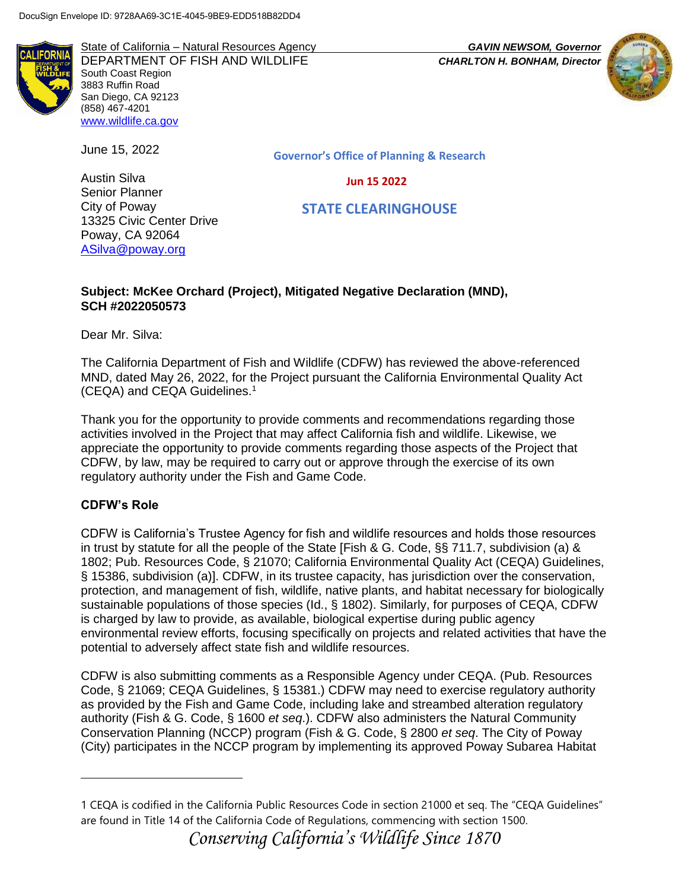

State of California – Natural Resources Agency *GAVIN NEWSOM, Governor* DEPARTMENT OF FISH AND WILDLIFE *CHARLTON H. BONHAM, Director*  South Coast Region 3883 Ruffin Road San Diego, CA 92123 (858) 467-4201 [www.wildlife.ca.gov](http://www.wildlife.ca.gov/)

June 15, 2022

Austin Silva Senior Planner City of Poway 13325 Civic Center Drive Poway, CA 92064 [ASilva@poway.org](mailto:ASilva@poway.org)

**Governor's Office of Planning & Research**

 **Jun 15 2022**

 **STATE CLEARINGHOUSE**

## **Subject: McKee Orchard (Project), Mitigated Negative Declaration (MND), SCH #2022050573**

Dear Mr. Silva:

The California Department of Fish and Wildlife (CDFW) has reviewed the above-referenced MND, dated May 26, 2022, for the Project pursuant the California Environmental Quality Act (CEQA) and CEQA Guidelines.<sup>1</sup>

Thank you for the opportunity to provide comments and recommendations regarding those activities involved in the Project that may affect California fish and wildlife. Likewise, we appreciate the opportunity to provide comments regarding those aspects of the Project that CDFW, by law, may be required to carry out or approve through the exercise of its own regulatory authority under the Fish and Game Code.

## **CDFW's Role**

 $\overline{a}$ 

CDFW is California's Trustee Agency for fish and wildlife resources and holds those resources in trust by statute for all the people of the State [Fish & G. Code, §§ 711.7, subdivision (a) & 1802; Pub. Resources Code, § 21070; California Environmental Quality Act (CEQA) Guidelines, § 15386, subdivision (a)]. CDFW, in its trustee capacity, has jurisdiction over the conservation, protection, and management of fish, wildlife, native plants, and habitat necessary for biologically sustainable populations of those species (Id., § 1802). Similarly, for purposes of CEQA, CDFW is charged by law to provide, as available, biological expertise during public agency environmental review efforts, focusing specifically on projects and related activities that have the potential to adversely affect state fish and wildlife resources.

CDFW is also submitting comments as a Responsible Agency under CEQA. (Pub. Resources Code, § 21069; CEQA Guidelines, § 15381.) CDFW may need to exercise regulatory authority as provided by the Fish and Game Code, including lake and streambed alteration regulatory authority (Fish & G. Code, § 1600 *et seq*.). CDFW also administers the Natural Community Conservation Planning (NCCP) program (Fish & G. Code, § 2800 *et seq*. The City of Poway (City) participates in the NCCP program by implementing its approved Poway Subarea Habitat



<sup>1</sup> CEQA is codified in the California Public Resources Code in section 21000 et seq. The "CEQA Guidelines" are found in Title 14 of the California Code of Regulations, commencing with section 1500.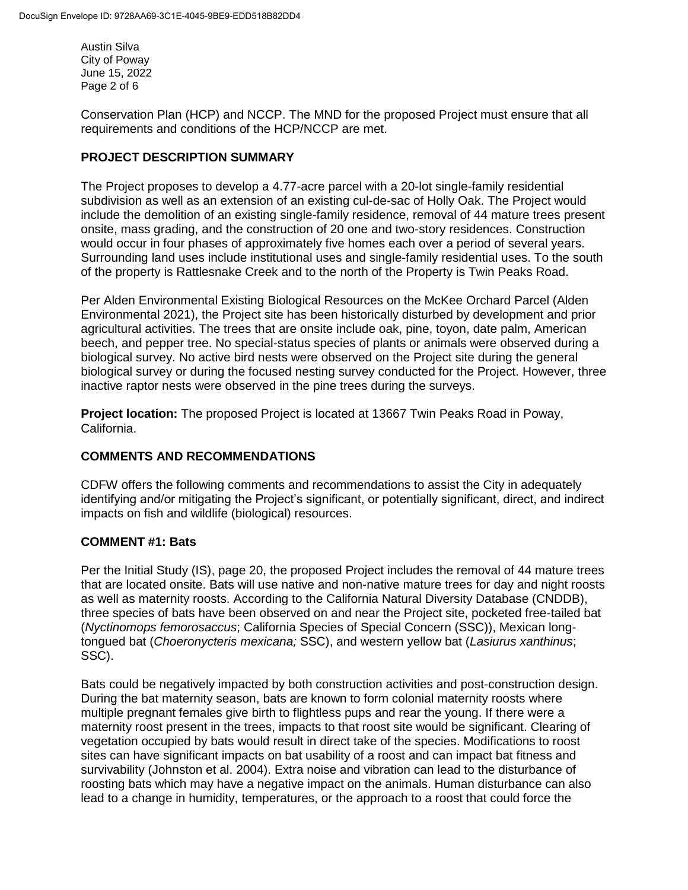Austin Silva City of Poway June 15, 2022 Page 2 of 6

Conservation Plan (HCP) and NCCP. The MND for the proposed Project must ensure that all requirements and conditions of the HCP/NCCP are met.

# **PROJECT DESCRIPTION SUMMARY**

The Project proposes to develop a 4.77-acre parcel with a 20-lot single-family residential subdivision as well as an extension of an existing cul-de-sac of Holly Oak. The Project would include the demolition of an existing single-family residence, removal of 44 mature trees present onsite, mass grading, and the construction of 20 one and two-story residences. Construction would occur in four phases of approximately five homes each over a period of several years. Surrounding land uses include institutional uses and single-family residential uses. To the south of the property is Rattlesnake Creek and to the north of the Property is Twin Peaks Road.

Per Alden Environmental Existing Biological Resources on the McKee Orchard Parcel (Alden Environmental 2021), the Project site has been historically disturbed by development and prior agricultural activities. The trees that are onsite include oak, pine, toyon, date palm, American beech, and pepper tree. No special-status species of plants or animals were observed during a biological survey. No active bird nests were observed on the Project site during the general biological survey or during the focused nesting survey conducted for the Project. However, three inactive raptor nests were observed in the pine trees during the surveys.

**Project location:** The proposed Project is located at 13667 Twin Peaks Road in Poway, California.

## **COMMENTS AND RECOMMENDATIONS**

CDFW offers the following comments and recommendations to assist the City in adequately identifying and/or mitigating the Project's significant, or potentially significant, direct, and indirect impacts on fish and wildlife (biological) resources.

## **COMMENT #1: Bats**

Per the Initial Study (IS), page 20, the proposed Project includes the removal of 44 mature trees that are located onsite. Bats will use native and non-native mature trees for day and night roosts as well as maternity roosts. According to the California Natural Diversity Database (CNDDB), three species of bats have been observed on and near the Project site, pocketed free-tailed bat (*Nyctinomops femorosaccus*; California Species of Special Concern (SSC)), Mexican longtongued bat (*Choeronycteris mexicana;* SSC), and western yellow bat (*Lasiurus xanthinus*; SSC).

Bats could be negatively impacted by both construction activities and post-construction design. During the bat maternity season, bats are known to form colonial maternity roosts where multiple pregnant females give birth to flightless pups and rear the young. If there were a maternity roost present in the trees, impacts to that roost site would be significant. Clearing of vegetation occupied by bats would result in direct take of the species. Modifications to roost sites can have significant impacts on bat usability of a roost and can impact bat fitness and survivability (Johnston et al. 2004). Extra noise and vibration can lead to the disturbance of roosting bats which may have a negative impact on the animals. Human disturbance can also lead to a change in humidity, temperatures, or the approach to a roost that could force the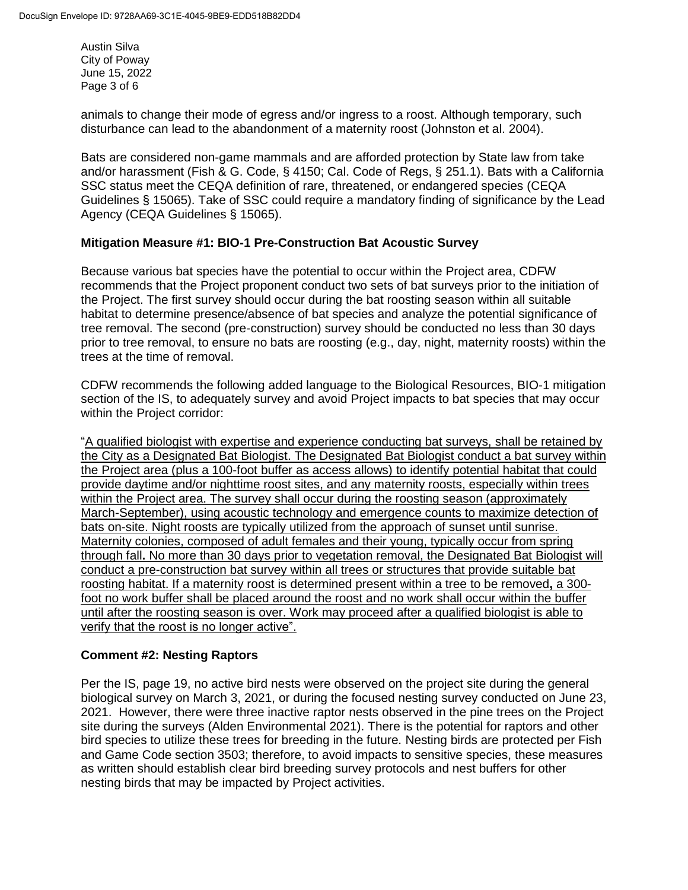Austin Silva City of Poway June 15, 2022 Page 3 of 6

animals to change their mode of egress and/or ingress to a roost. Although temporary, such disturbance can lead to the abandonment of a maternity roost (Johnston et al. 2004).

Bats are considered non-game mammals and are afforded protection by State law from take and/or harassment (Fish & G. Code, § 4150; Cal. Code of Regs, § 251.1). Bats with a California SSC status meet the CEQA definition of rare, threatened, or endangered species (CEQA Guidelines § 15065). Take of SSC could require a mandatory finding of significance by the Lead Agency (CEQA Guidelines § 15065).

### **Mitigation Measure #1: BIO-1 Pre-Construction Bat Acoustic Survey**

Because various bat species have the potential to occur within the Project area, CDFW recommends that the Project proponent conduct two sets of bat surveys prior to the initiation of the Project. The first survey should occur during the bat roosting season within all suitable habitat to determine presence/absence of bat species and analyze the potential significance of tree removal. The second (pre-construction) survey should be conducted no less than 30 days prior to tree removal, to ensure no bats are roosting (e.g., day, night, maternity roosts) within the trees at the time of removal.

CDFW recommends the following added language to the Biological Resources, BIO-1 mitigation section of the IS, to adequately survey and avoid Project impacts to bat species that may occur within the Project corridor:

"A qualified biologist with expertise and experience conducting bat surveys, shall be retained by the City as a Designated Bat Biologist. The Designated Bat Biologist conduct a bat survey within the Project area (plus a 100-foot buffer as access allows) to identify potential habitat that could provide daytime and/or nighttime roost sites, and any maternity roosts, especially within trees within the Project area. The survey shall occur during the roosting season (approximately March-September), using acoustic technology and emergence counts to maximize detection of bats on-site. Night roosts are typically utilized from the approach of sunset until sunrise. Maternity colonies, composed of adult females and their young, typically occur from spring through fall**.** No more than 30 days prior to vegetation removal, the Designated Bat Biologist will conduct a pre-construction bat survey within all trees or structures that provide suitable bat roosting habitat. If a maternity roost is determined present within a tree to be removed**,** a 300 foot no work buffer shall be placed around the roost and no work shall occur within the buffer until after the roosting season is over. Work may proceed after a qualified biologist is able to verify that the roost is no longer active".

## **Comment #2: Nesting Raptors**

Per the IS, page 19, no active bird nests were observed on the project site during the general biological survey on March 3, 2021, or during the focused nesting survey conducted on June 23, 2021. However, there were three inactive raptor nests observed in the pine trees on the Project site during the surveys (Alden Environmental 2021). There is the potential for raptors and other bird species to utilize these trees for breeding in the future. Nesting birds are protected per Fish and Game Code section 3503; therefore, to avoid impacts to sensitive species, these measures as written should establish clear bird breeding survey protocols and nest buffers for other nesting birds that may be impacted by Project activities.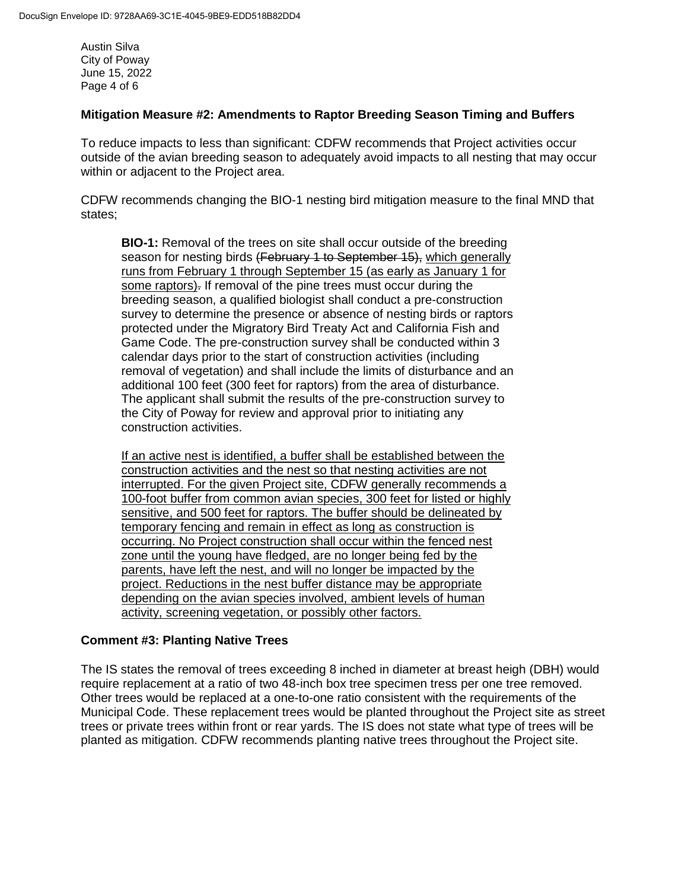Austin Silva City of Poway June 15, 2022 Page 4 of 6

### **Mitigation Measure #2: Amendments to Raptor Breeding Season Timing and Buffers**

To reduce impacts to less than significant: CDFW recommends that Project activities occur outside of the avian breeding season to adequately avoid impacts to all nesting that may occur within or adjacent to the Project area.

CDFW recommends changing the BIO-1 nesting bird mitigation measure to the final MND that states;

**BIO-1:** Removal of the trees on site shall occur outside of the breeding season for nesting birds (February 1 to September 15), which generally runs from February 1 through September 15 (as early as January 1 for some raptors). If removal of the pine trees must occur during the breeding season, a qualified biologist shall conduct a pre-construction survey to determine the presence or absence of nesting birds or raptors protected under the Migratory Bird Treaty Act and California Fish and Game Code. The pre-construction survey shall be conducted within 3 calendar days prior to the start of construction activities (including removal of vegetation) and shall include the limits of disturbance and an additional 100 feet (300 feet for raptors) from the area of disturbance. The applicant shall submit the results of the pre-construction survey to the City of Poway for review and approval prior to initiating any construction activities.

If an active nest is identified, a buffer shall be established between the construction activities and the nest so that nesting activities are not interrupted. For the given Project site, CDFW generally recommends a 100-foot buffer from common avian species, 300 feet for listed or highly sensitive, and 500 feet for raptors. The buffer should be delineated by temporary fencing and remain in effect as long as construction is occurring. No Project construction shall occur within the fenced nest zone until the young have fledged, are no longer being fed by the parents, have left the nest, and will no longer be impacted by the project. Reductions in the nest buffer distance may be appropriate depending on the avian species involved, ambient levels of human activity, screening vegetation, or possibly other factors.

## **Comment #3: Planting Native Trees**

The IS states the removal of trees exceeding 8 inched in diameter at breast heigh (DBH) would require replacement at a ratio of two 48-inch box tree specimen tress per one tree removed. Other trees would be replaced at a one-to-one ratio consistent with the requirements of the Municipal Code. These replacement trees would be planted throughout the Project site as street trees or private trees within front or rear yards. The IS does not state what type of trees will be planted as mitigation. CDFW recommends planting native trees throughout the Project site.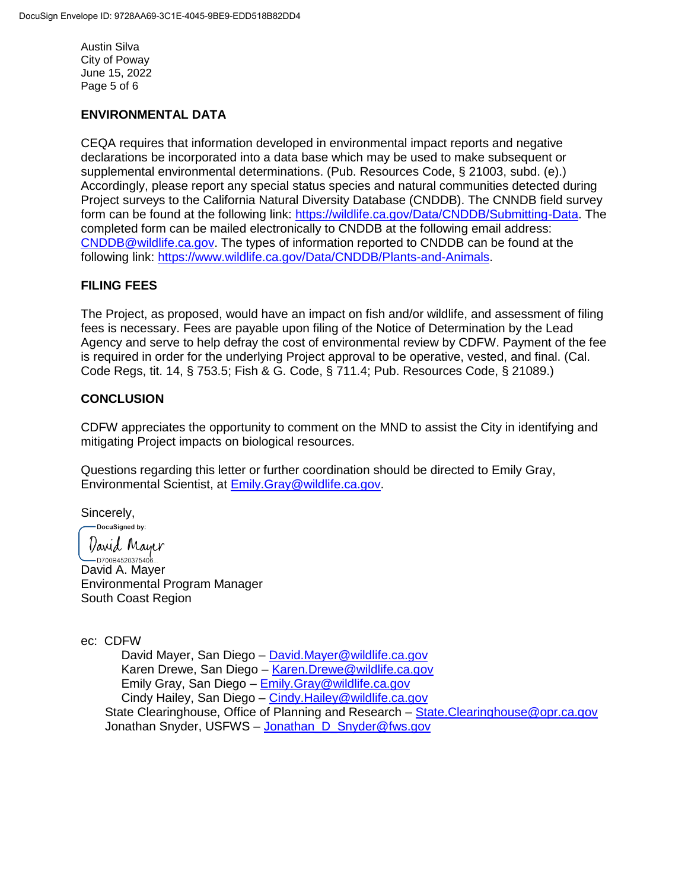Austin Silva City of Poway June 15, 2022 Page 5 of 6

### **ENVIRONMENTAL DATA**

CEQA requires that information developed in environmental impact reports and negative declarations be incorporated into a data base which may be used to make subsequent or supplemental environmental determinations. (Pub. Resources Code, § 21003, subd. (e).) Accordingly, please report any special status species and natural communities detected during Project surveys to the California Natural Diversity Database (CNDDB). The CNNDB field survey form can be found at the following link: [https://wildlife.ca.gov/Data/CNDDB/Submitting-Data.](https://wildlife.ca.gov/Data/CNDDB/Submitting-Data) The completed form can be mailed electronically to CNDDB at the following email address: [CNDDB@wildlife.ca.gov.](mailto:cnddb@dfg.ca.gov) The types of information reported to CNDDB can be found at the following link: [https://www.wildlife.ca.gov/Data/CNDDB/Plants-and-Animals.](https://www.wildlife.ca.gov/Data/CNDDB/Plants-and-Animals)

### **FILING FEES**

The Project, as proposed, would have an impact on fish and/or wildlife, and assessment of filing fees is necessary. Fees are payable upon filing of the Notice of Determination by the Lead Agency and serve to help defray the cost of environmental review by CDFW. Payment of the fee is required in order for the underlying Project approval to be operative, vested, and final. (Cal. Code Regs, tit. 14, § 753.5; Fish & G. Code, § 711.4; Pub. Resources Code, § 21089.)

### **CONCLUSION**

CDFW appreciates the opportunity to comment on the MND to assist the City in identifying and mitigating Project impacts on biological resources.

Questions regarding this letter or further coordination should be directed to Emily Gray, Environmental Scientist, at [Emily.Gray@wildlife.ca.gov.](mailto:Emily.Gray@wildlife.ca.gov.)

Sincerely, DocuSigned by:

David Mayer ]<br>= D700B4520375406\_\_ David A. Mayer Environmental Program Manager South Coast Region

ec: CDFW

David Mayer, San Diego – [David.Mayer@wildlife.ca.gov](mailto:David.Mayer@wildlife.ca.gov) Karen Drewe, San Diego – [Karen.Drewe@wildlife.ca.gov](mailto:Karen.Drewe@wildlife.ca.gov) Emily Gray, San Diego – [Emily.Gray@wildlife.ca.gov](mailto:Emily.Gray@wildlife.ca.gov) Cindy Hailey, San Diego - Cindy. Hailey@wildlife.ca.gov State Clearinghouse, Office of Planning and Research – State. Clearinghouse @opr.ca.gov Jonathan Snyder, USFWS – [Jonathan\\_D\\_Snyder@fws.gov](mailto:Jonathan_D_Snyder@fws.gov)